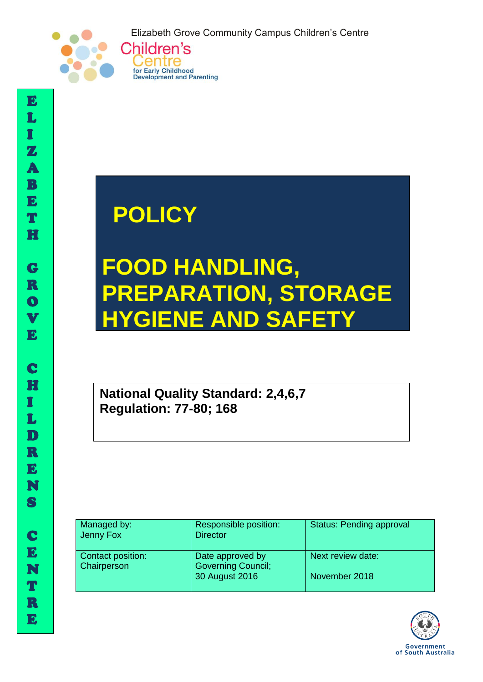Elizabeth Grove Community Campus Children's Centre



## **POLICY**

Centre for Early Childhood Development and Parenting

# **FOOD HANDLING, PREPARATION, STORAGE HYGIENE AND SAFETY**

**National Quality Standard: 2,4,6,7 Regulation: 77-80; 168** 

| Managed by:<br>Jenny Fox         | Responsible position:<br><b>Director</b>      | <b>Status: Pending approval</b> |
|----------------------------------|-----------------------------------------------|---------------------------------|
| Contact position:<br>Chairperson | Date approved by<br><b>Governing Council;</b> | Next review date:               |
|                                  | 30 August 2016                                | November 2018                   |



I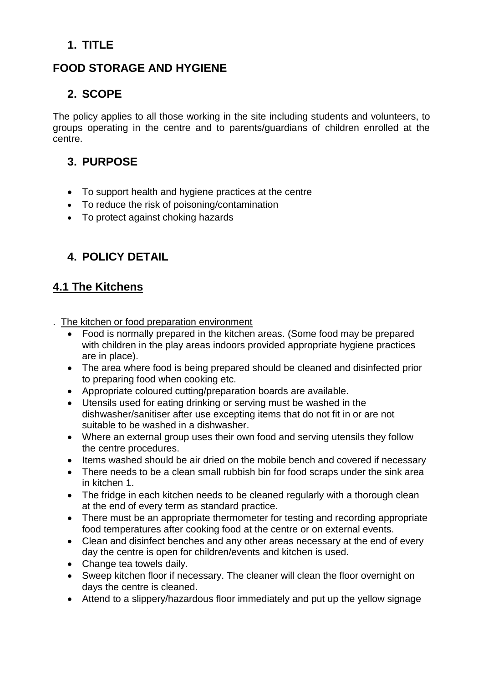## **1. TITLE**

## **FOOD STORAGE AND HYGIENE**

## **2. SCOPE**

The policy applies to all those working in the site including students and volunteers, to groups operating in the centre and to parents/guardians of children enrolled at the centre.

## **3. PURPOSE**

- To support health and hygiene practices at the centre
- To reduce the risk of poisoning/contamination
- To protect against choking hazards

## **4. POLICY DETAIL**

## **4.1 The Kitchens**

. The kitchen or food preparation environment

- Food is normally prepared in the kitchen areas. (Some food may be prepared with children in the play areas indoors provided appropriate hygiene practices are in place).
- The area where food is being prepared should be cleaned and disinfected prior to preparing food when cooking etc.
- Appropriate coloured cutting/preparation boards are available.
- Utensils used for eating drinking or serving must be washed in the dishwasher/sanitiser after use excepting items that do not fit in or are not suitable to be washed in a dishwasher.
- Where an external group uses their own food and serving utensils they follow the centre procedures.
- Items washed should be air dried on the mobile bench and covered if necessary
- There needs to be a clean small rubbish bin for food scraps under the sink area in kitchen 1.
- The fridge in each kitchen needs to be cleaned regularly with a thorough clean at the end of every term as standard practice.
- There must be an appropriate thermometer for testing and recording appropriate food temperatures after cooking food at the centre or on external events.
- Clean and disinfect benches and any other areas necessary at the end of every day the centre is open for children/events and kitchen is used.
- Change tea towels daily.
- Sweep kitchen floor if necessary. The cleaner will clean the floor overnight on days the centre is cleaned.
- Attend to a slippery/hazardous floor immediately and put up the yellow signage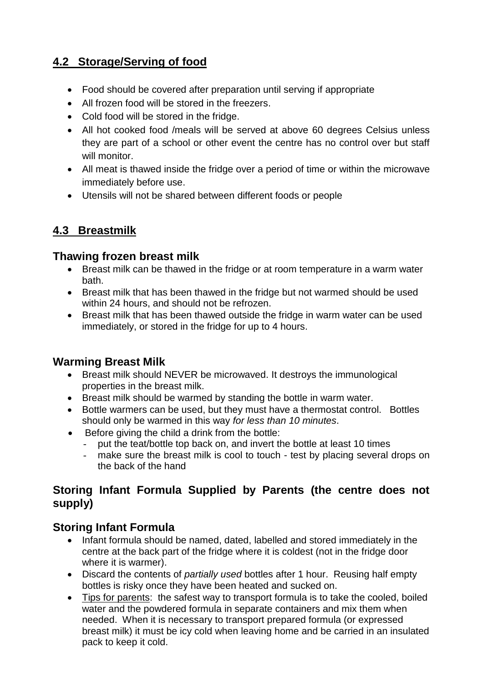## **4.2 Storage/Serving of food**

- Food should be covered after preparation until serving if appropriate
- All frozen food will be stored in the freezers.
- Cold food will be stored in the fridge.
- All hot cooked food /meals will be served at above 60 degrees Celsius unless they are part of a school or other event the centre has no control over but staff will monitor.
- All meat is thawed inside the fridge over a period of time or within the microwave immediately before use.
- Utensils will not be shared between different foods or people

## **4.3 Breastmilk**

#### **Thawing frozen breast milk**

- Breast milk can be thawed in the fridge or at room temperature in a warm water bath.
- Breast milk that has been thawed in the fridge but not warmed should be used within 24 hours, and should not be refrozen.
- Breast milk that has been thawed outside the fridge in warm water can be used immediately, or stored in the fridge for up to 4 hours.

### **Warming Breast Milk**

- Breast milk should NEVER be microwaved. It destroys the immunological properties in the breast milk.
- Breast milk should be warmed by standing the bottle in warm water.
- Bottle warmers can be used, but they must have a thermostat control. Bottles should only be warmed in this way *for less than 10 minutes*.
- Before giving the child a drink from the bottle:
	- put the teat/bottle top back on, and invert the bottle at least 10 times
	- make sure the breast milk is cool to touch test by placing several drops on the back of the hand

## **Storing Infant Formula Supplied by Parents (the centre does not supply)**

### **Storing Infant Formula**

- Infant formula should be named, dated, labelled and stored immediately in the centre at the back part of the fridge where it is coldest (not in the fridge door where it is warmer).
- Discard the contents of *partially used* bottles after 1 hour. Reusing half empty bottles is risky once they have been heated and sucked on.
- Tips for parents: the safest way to transport formula is to take the cooled, boiled water and the powdered formula in separate containers and mix them when needed. When it is necessary to transport prepared formula (or expressed breast milk) it must be icy cold when leaving home and be carried in an insulated pack to keep it cold.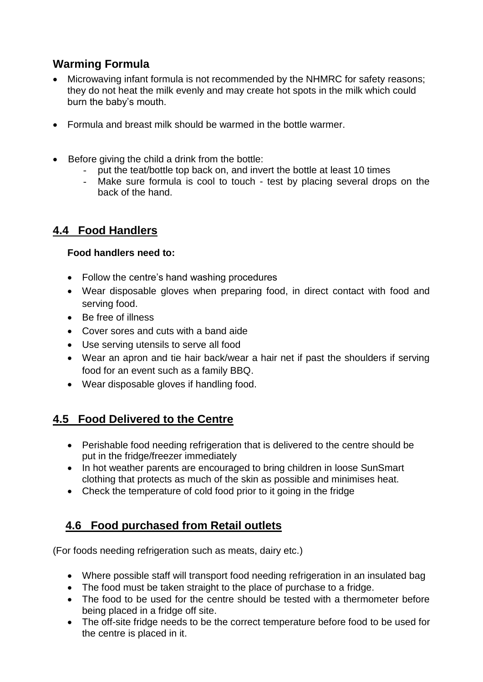## **Warming Formula**

- Microwaving infant formula is not recommended by the NHMRC for safety reasons; they do not heat the milk evenly and may create hot spots in the milk which could burn the baby's mouth.
- Formula and breast milk should be warmed in the bottle warmer.
- Before giving the child a drink from the bottle:
	- put the teat/bottle top back on, and invert the bottle at least 10 times
	- Make sure formula is cool to touch test by placing several drops on the back of the hand.

## **4.4 Food Handlers**

#### **Food handlers need to:**

- Follow the centre's hand washing procedures
- Wear disposable gloves when preparing food, in direct contact with food and serving food.
- Be free of illness
- Cover sores and cuts with a band aide
- Use serving utensils to serve all food
- Wear an apron and tie hair back/wear a hair net if past the shoulders if serving food for an event such as a family BBQ.
- Wear disposable gloves if handling food.

## **4.5 Food Delivered to the Centre**

- Perishable food needing refrigeration that is delivered to the centre should be put in the fridge/freezer immediately
- In hot weather parents are encouraged to bring children in loose SunSmart clothing that protects as much of the skin as possible and minimises heat.
- Check the temperature of cold food prior to it going in the fridge

## **4.6 Food purchased from Retail outlets**

(For foods needing refrigeration such as meats, dairy etc.)

- Where possible staff will transport food needing refrigeration in an insulated bag
- The food must be taken straight to the place of purchase to a fridge.
- The food to be used for the centre should be tested with a thermometer before being placed in a fridge off site.
- The off-site fridge needs to be the correct temperature before food to be used for the centre is placed in it.